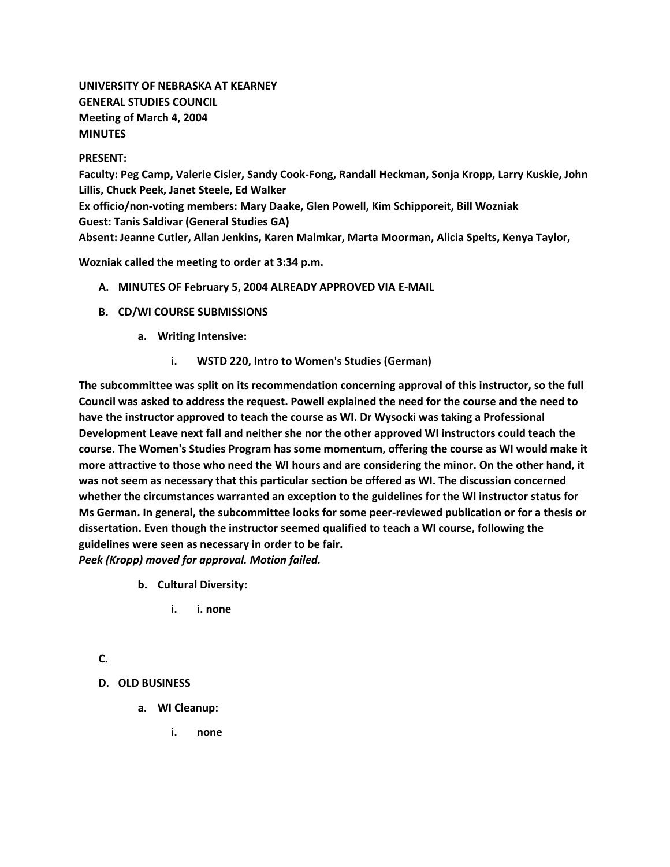# **UNIVERSITY OF NEBRASKA AT KEARNEY GENERAL STUDIES COUNCIL Meeting of March 4, 2004 MINUTES**

## **PRESENT:**

**Faculty: Peg Camp, Valerie Cisler, Sandy Cook-Fong, Randall Heckman, Sonja Kropp, Larry Kuskie, John Lillis, Chuck Peek, Janet Steele, Ed Walker Ex officio/non-voting members: Mary Daake, Glen Powell, Kim Schipporeit, Bill Wozniak Guest: Tanis Saldivar (General Studies GA) Absent: Jeanne Cutler, Allan Jenkins, Karen Malmkar, Marta Moorman, Alicia Spelts, Kenya Taylor,**

**Wozniak called the meeting to order at 3:34 p.m.**

- **A. MINUTES OF February 5, 2004 ALREADY APPROVED VIA E-MAIL**
- **B. CD/WI COURSE SUBMISSIONS**
	- **a. Writing Intensive:** 
		- **i. WSTD 220, Intro to Women's Studies (German)**

**The subcommittee was split on its recommendation concerning approval of this instructor, so the full Council was asked to address the request. Powell explained the need for the course and the need to have the instructor approved to teach the course as WI. Dr Wysocki was taking a Professional Development Leave next fall and neither she nor the other approved WI instructors could teach the course. The Women's Studies Program has some momentum, offering the course as WI would make it more attractive to those who need the WI hours and are considering the minor. On the other hand, it was not seem as necessary that this particular section be offered as WI. The discussion concerned whether the circumstances warranted an exception to the guidelines for the WI instructor status for Ms German. In general, the subcommittee looks for some peer-reviewed publication or for a thesis or dissertation. Even though the instructor seemed qualified to teach a WI course, following the guidelines were seen as necessary in order to be fair.** *Peek (Kropp) moved for approval. Motion failed.*

- **b. Cultural Diversity:** 
	- **i. i. none**

# **C.**

- **D. OLD BUSINESS**
	- **a. WI Cleanup:** 
		- **i. none**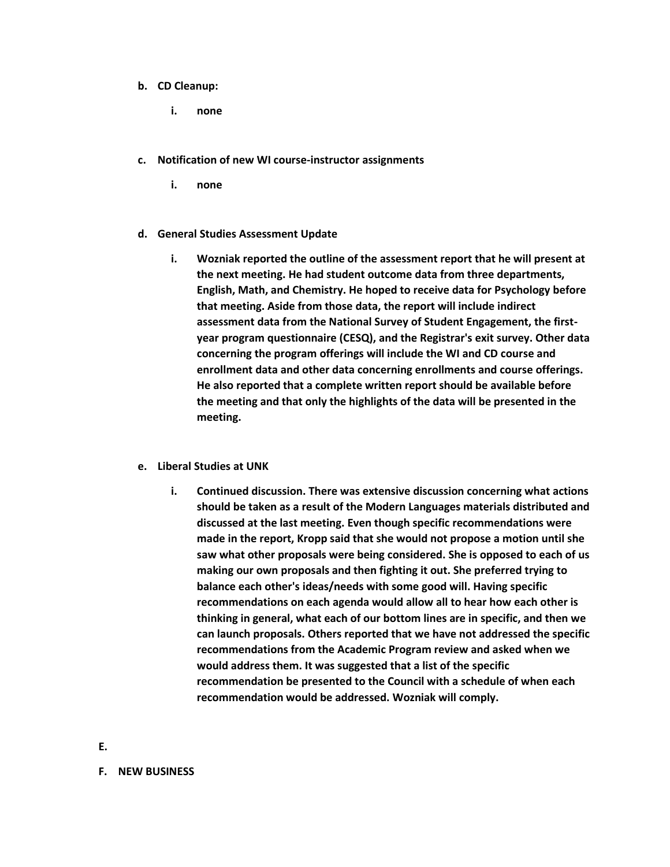#### **b. CD Cleanup:**

- **i. none**
- **c. Notification of new WI course-instructor assignments** 
	- **i. none**

#### **d. General Studies Assessment Update**

**i. Wozniak reported the outline of the assessment report that he will present at the next meeting. He had student outcome data from three departments, English, Math, and Chemistry. He hoped to receive data for Psychology before that meeting. Aside from those data, the report will include indirect assessment data from the National Survey of Student Engagement, the firstyear program questionnaire (CESQ), and the Registrar's exit survey. Other data concerning the program offerings will include the WI and CD course and enrollment data and other data concerning enrollments and course offerings. He also reported that a complete written report should be available before the meeting and that only the highlights of the data will be presented in the meeting.**

## **e. Liberal Studies at UNK**

**i. Continued discussion. There was extensive discussion concerning what actions should be taken as a result of the Modern Languages materials distributed and discussed at the last meeting. Even though specific recommendations were made in the report, Kropp said that she would not propose a motion until she saw what other proposals were being considered. She is opposed to each of us making our own proposals and then fighting it out. She preferred trying to balance each other's ideas/needs with some good will. Having specific recommendations on each agenda would allow all to hear how each other is thinking in general, what each of our bottom lines are in specific, and then we can launch proposals. Others reported that we have not addressed the specific recommendations from the Academic Program review and asked when we would address them. It was suggested that a list of the specific recommendation be presented to the Council with a schedule of when each recommendation would be addressed. Wozniak will comply.**

**F. NEW BUSINESS**